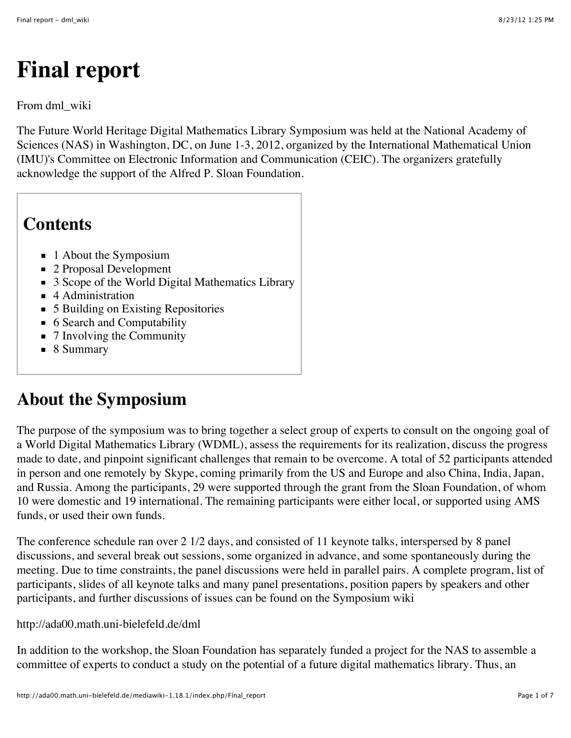# **Final report**

#### From dml\_wiki

The Future World Heritage Digital Mathematics Library Symposium was held at the National Academy of Sciences (NAS) in Washington, DC, on June 1-3, 2012, organized by the International Mathematical Union (IMU)'s Committee on Electronic Information and Communication (CEIC). The organizers gratefully acknowledge the support of the Alfred P. Sloan Foundation.

#### **Contents**

- 1 [About the Symposium](http://ada00.math.uni-bielefeld.de/mediawiki-1.18.1/index.php/Final_report#About_the_Symposium)
- 2 [Proposal Development](http://ada00.math.uni-bielefeld.de/mediawiki-1.18.1/index.php/Final_report#Proposal_Development)
- 3 [Scope of the World Digital Mathematics Library](http://ada00.math.uni-bielefeld.de/mediawiki-1.18.1/index.php/Final_report#Scope_of_the_World_Digital_Mathematics_Library)
- 4 [Administration](http://ada00.math.uni-bielefeld.de/mediawiki-1.18.1/index.php/Final_report#Administration)
- 5 [Building on Existing Repositories](http://ada00.math.uni-bielefeld.de/mediawiki-1.18.1/index.php/Final_report#Building_on_Existing_Repositories)
- 6 [Search and Computability](http://ada00.math.uni-bielefeld.de/mediawiki-1.18.1/index.php/Final_report#Search_and_Computability)
- 7 [Involving the Community](http://ada00.math.uni-bielefeld.de/mediawiki-1.18.1/index.php/Final_report#Involving_the_Community)
- 8 [Summary](http://ada00.math.uni-bielefeld.de/mediawiki-1.18.1/index.php/Final_report#Summary)

#### **About the Symposium**

The purpose of the symposium was to bring together a select group of experts to consult on the ongoing goal of a World Digital Mathematics Library (WDML), assess the requirements for its realization, discuss the progress made to date, and pinpoint significant challenges that remain to be overcome. A total of 52 participants attended in person and one remotely by Skype, coming primarily from the US and Europe and also China, India, Japan, and Russia. Among the participants, 29 were supported through the grant from the Sloan Foundation, of whom 10 were domestic and 19 international. The remaining participants were either local, or supported using AMS funds, or used their own funds.

The conference schedule ran over 2 1/2 days, and consisted of 11 keynote talks, interspersed by 8 panel discussions, and several break out sessions, some organized in advance, and some spontaneously during the meeting. Due to time constraints, the panel discussions were held in parallel pairs. A complete program, list of participants, slides of all keynote talks and many panel presentations, position papers by speakers and other participants, and further discussions of issues can be found on the Symposium wiki

#### <http://ada00.math.uni-bielefeld.de/dml>

In addition to the workshop, the Sloan Foundation has separately funded a project for the NAS to assemble a committee of experts to conduct a study on the potential of a future digital mathematics library. Thus, an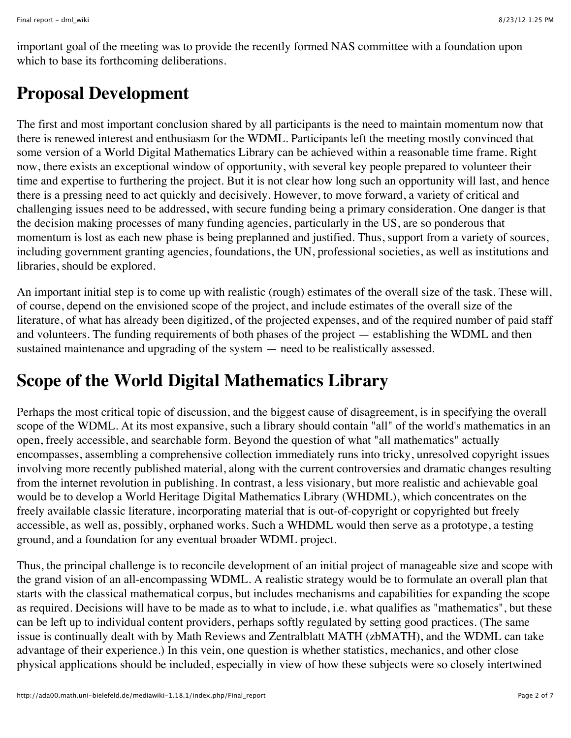important goal of the meeting was to provide the recently formed NAS committee with a foundation upon which to base its forthcoming deliberations.

### **Proposal Development**

The first and most important conclusion shared by all participants is the need to maintain momentum now that there is renewed interest and enthusiasm for the WDML. Participants left the meeting mostly convinced that some version of a World Digital Mathematics Library can be achieved within a reasonable time frame. Right now, there exists an exceptional window of opportunity, with several key people prepared to volunteer their time and expertise to furthering the project. But it is not clear how long such an opportunity will last, and hence there is a pressing need to act quickly and decisively. However, to move forward, a variety of critical and challenging issues need to be addressed, with secure funding being a primary consideration. One danger is that the decision making processes of many funding agencies, particularly in the US, are so ponderous that momentum is lost as each new phase is being preplanned and justified. Thus, support from a variety of sources, including government granting agencies, foundations, the UN, professional societies, as well as institutions and libraries, should be explored.

An important initial step is to come up with realistic (rough) estimates of the overall size of the task. These will, of course, depend on the envisioned scope of the project, and include estimates of the overall size of the literature, of what has already been digitized, of the projected expenses, and of the required number of paid staff and volunteers. The funding requirements of both phases of the project — establishing the WDML and then sustained maintenance and upgrading of the system — need to be realistically assessed.

## **Scope of the World Digital Mathematics Library**

Perhaps the most critical topic of discussion, and the biggest cause of disagreement, is in specifying the overall scope of the WDML. At its most expansive, such a library should contain "all" of the world's mathematics in an open, freely accessible, and searchable form. Beyond the question of what "all mathematics" actually encompasses, assembling a comprehensive collection immediately runs into tricky, unresolved copyright issues involving more recently published material, along with the current controversies and dramatic changes resulting from the internet revolution in publishing. In contrast, a less visionary, but more realistic and achievable goal would be to develop a World Heritage Digital Mathematics Library (WHDML), which concentrates on the freely available classic literature, incorporating material that is out-of-copyright or copyrighted but freely accessible, as well as, possibly, orphaned works. Such a WHDML would then serve as a prototype, a testing ground, and a foundation for any eventual broader WDML project.

Thus, the principal challenge is to reconcile development of an initial project of manageable size and scope with the grand vision of an all-encompassing WDML. A realistic strategy would be to formulate an overall plan that starts with the classical mathematical corpus, but includes mechanisms and capabilities for expanding the scope as required. Decisions will have to be made as to what to include, i.e. what qualifies as "mathematics", but these can be left up to individual content providers, perhaps softly regulated by setting good practices. (The same issue is continually dealt with by Math Reviews and Zentralblatt MATH (zbMATH), and the WDML can take advantage of their experience.) In this vein, one question is whether statistics, mechanics, and other close physical applications should be included, especially in view of how these subjects were so closely intertwined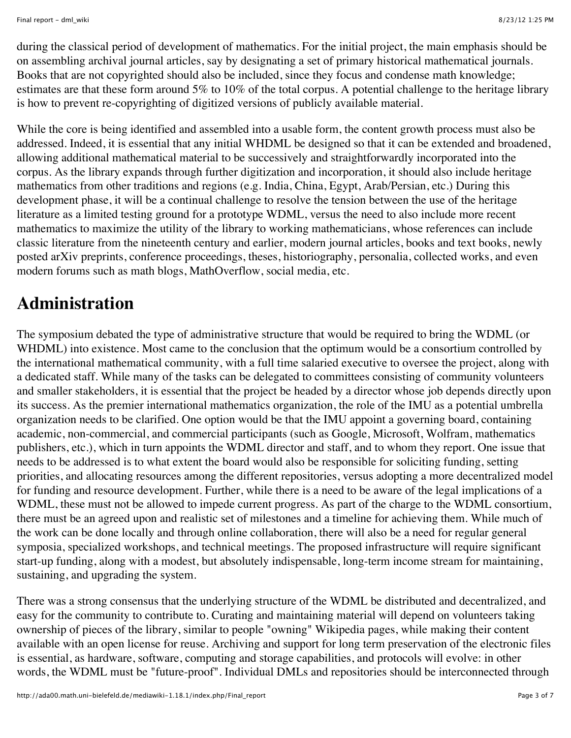during the classical period of development of mathematics. For the initial project, the main emphasis should be on assembling archival journal articles, say by designating a set of primary historical mathematical journals. Books that are not copyrighted should also be included, since they focus and condense math knowledge; estimates are that these form around 5% to 10% of the total corpus. A potential challenge to the heritage library is how to prevent re-copyrighting of digitized versions of publicly available material.

While the core is being identified and assembled into a usable form, the content growth process must also be addressed. Indeed, it is essential that any initial WHDML be designed so that it can be extended and broadened, allowing additional mathematical material to be successively and straightforwardly incorporated into the corpus. As the library expands through further digitization and incorporation, it should also include heritage mathematics from other traditions and regions (e.g. India, China, Egypt, Arab/Persian, etc.) During this development phase, it will be a continual challenge to resolve the tension between the use of the heritage literature as a limited testing ground for a prototype WDML, versus the need to also include more recent mathematics to maximize the utility of the library to working mathematicians, whose references can include classic literature from the nineteenth century and earlier, modern journal articles, books and text books, newly posted arXiv preprints, conference proceedings, theses, historiography, personalia, collected works, and even modern forums such as math blogs, MathOverflow, social media, etc.

### **Administration**

The symposium debated the type of administrative structure that would be required to bring the WDML (or WHDML) into existence. Most came to the conclusion that the optimum would be a consortium controlled by the international mathematical community, with a full time salaried executive to oversee the project, along with a dedicated staff. While many of the tasks can be delegated to committees consisting of community volunteers and smaller stakeholders, it is essential that the project be headed by a director whose job depends directly upon its success. As the premier international mathematics organization, the role of the IMU as a potential umbrella organization needs to be clarified. One option would be that the IMU appoint a governing board, containing academic, non-commercial, and commercial participants (such as Google, Microsoft, Wolfram, mathematics publishers, etc.), which in turn appoints the WDML director and staff, and to whom they report. One issue that needs to be addressed is to what extent the board would also be responsible for soliciting funding, setting priorities, and allocating resources among the different repositories, versus adopting a more decentralized model for funding and resource development. Further, while there is a need to be aware of the legal implications of a WDML, these must not be allowed to impede current progress. As part of the charge to the WDML consortium, there must be an agreed upon and realistic set of milestones and a timeline for achieving them. While much of the work can be done locally and through online collaboration, there will also be a need for regular general symposia, specialized workshops, and technical meetings. The proposed infrastructure will require significant start-up funding, along with a modest, but absolutely indispensable, long-term income stream for maintaining, sustaining, and upgrading the system.

There was a strong consensus that the underlying structure of the WDML be distributed and decentralized, and easy for the community to contribute to. Curating and maintaining material will depend on volunteers taking ownership of pieces of the library, similar to people "owning" Wikipedia pages, while making their content available with an open license for reuse. Archiving and support for long term preservation of the electronic files is essential, as hardware, software, computing and storage capabilities, and protocols will evolve: in other words, the WDML must be "future-proof". Individual DMLs and repositories should be interconnected through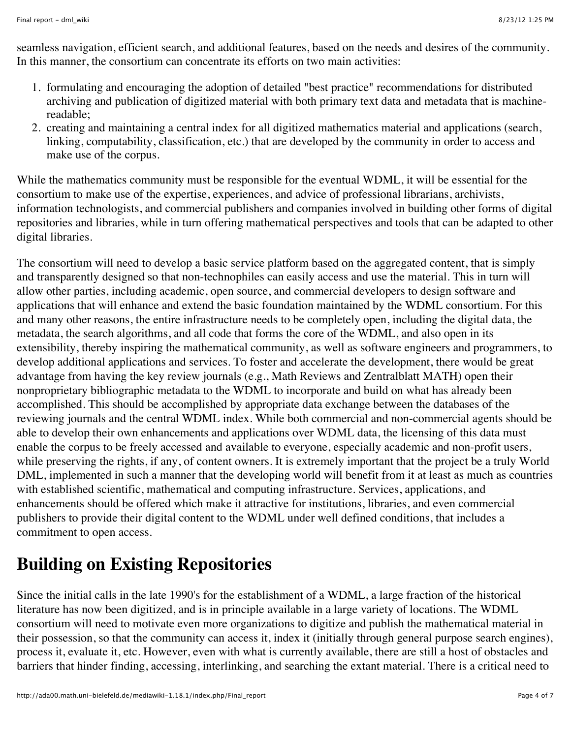seamless navigation, efficient search, and additional features, based on the needs and desires of the community. In this manner, the consortium can concentrate its efforts on two main activities:

- 1. formulating and encouraging the adoption of detailed "best practice" recommendations for distributed archiving and publication of digitized material with both primary text data and metadata that is machinereadable;
- 2. creating and maintaining a central index for all digitized mathematics material and applications (search, linking, computability, classification, etc.) that are developed by the community in order to access and make use of the corpus.

While the mathematics community must be responsible for the eventual WDML, it will be essential for the consortium to make use of the expertise, experiences, and advice of professional librarians, archivists, information technologists, and commercial publishers and companies involved in building other forms of digital repositories and libraries, while in turn offering mathematical perspectives and tools that can be adapted to other digital libraries.

The consortium will need to develop a basic service platform based on the aggregated content, that is simply and transparently designed so that non-technophiles can easily access and use the material. This in turn will allow other parties, including academic, open source, and commercial developers to design software and applications that will enhance and extend the basic foundation maintained by the WDML consortium. For this and many other reasons, the entire infrastructure needs to be completely open, including the digital data, the metadata, the search algorithms, and all code that forms the core of the WDML, and also open in its extensibility, thereby inspiring the mathematical community, as well as software engineers and programmers, to develop additional applications and services. To foster and accelerate the development, there would be great advantage from having the key review journals (e.g., Math Reviews and Zentralblatt MATH) open their nonproprietary bibliographic metadata to the WDML to incorporate and build on what has already been accomplished. This should be accomplished by appropriate data exchange between the databases of the reviewing journals and the central WDML index. While both commercial and non-commercial agents should be able to develop their own enhancements and applications over WDML data, the licensing of this data must enable the corpus to be freely accessed and available to everyone, especially academic and non-profit users, while preserving the rights, if any, of content owners. It is extremely important that the project be a truly World DML, implemented in such a manner that the developing world will benefit from it at least as much as countries with established scientific, mathematical and computing infrastructure. Services, applications, and enhancements should be offered which make it attractive for institutions, libraries, and even commercial publishers to provide their digital content to the WDML under well defined conditions, that includes a commitment to open access.

#### **Building on Existing Repositories**

Since the initial calls in the late 1990's for the establishment of a WDML, a large fraction of the historical literature has now been digitized, and is in principle available in a large variety of locations. The WDML consortium will need to motivate even more organizations to digitize and publish the mathematical material in their possession, so that the community can access it, index it (initially through general purpose search engines), process it, evaluate it, etc. However, even with what is currently available, there are still a host of obstacles and barriers that hinder finding, accessing, interlinking, and searching the extant material. There is a critical need to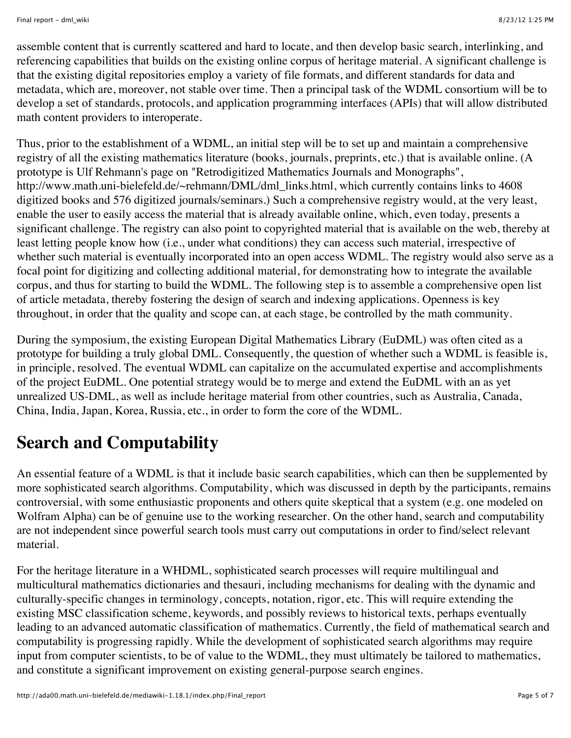assemble content that is currently scattered and hard to locate, and then develop basic search, interlinking, and referencing capabilities that builds on the existing online corpus of heritage material. A significant challenge is that the existing digital repositories employ a variety of file formats, and different standards for data and metadata, which are, moreover, not stable over time. Then a principal task of the WDML consortium will be to develop a set of standards, protocols, and application programming interfaces (APIs) that will allow distributed math content providers to interoperate.

Thus, prior to the establishment of a WDML, an initial step will be to set up and maintain a comprehensive registry of all the existing mathematics literature (books, journals, preprints, etc.) that is available online. (A prototype is Ulf Rehmann's page on "Retrodigitized Mathematics Journals and Monographs", [http://www.math.uni-bielefeld.de/~rehmann/DML/dml\\_links.html,](http://www.math.uni-bielefeld.de/~rehmann/DML/dml_links.html) which currently contains links to 4608 digitized books and 576 digitized journals/seminars.) Such a comprehensive registry would, at the very least, enable the user to easily access the material that is already available online, which, even today, presents a significant challenge. The registry can also point to copyrighted material that is available on the web, thereby at least letting people know how (i.e., under what conditions) they can access such material, irrespective of whether such material is eventually incorporated into an open access WDML. The registry would also serve as a focal point for digitizing and collecting additional material, for demonstrating how to integrate the available corpus, and thus for starting to build the WDML. The following step is to assemble a comprehensive open list of article metadata, thereby fostering the design of search and indexing applications. Openness is key throughout, in order that the quality and scope can, at each stage, be controlled by the math community.

During the symposium, the existing European Digital Mathematics Library (EuDML) was often cited as a prototype for building a truly global DML. Consequently, the question of whether such a WDML is feasible is, in principle, resolved. The eventual WDML can capitalize on the accumulated expertise and accomplishments of the project EuDML. One potential strategy would be to merge and extend the EuDML with an as yet unrealized US-DML, as well as include heritage material from other countries, such as Australia, Canada, China, India, Japan, Korea, Russia, etc., in order to form the core of the WDML.

# **Search and Computability**

An essential feature of a WDML is that it include basic search capabilities, which can then be supplemented by more sophisticated search algorithms. Computability, which was discussed in depth by the participants, remains controversial, with some enthusiastic proponents and others quite skeptical that a system (e.g. one modeled on Wolfram Alpha) can be of genuine use to the working researcher. On the other hand, search and computability are not independent since powerful search tools must carry out computations in order to find/select relevant material.

For the heritage literature in a WHDML, sophisticated search processes will require multilingual and multicultural mathematics dictionaries and thesauri, including mechanisms for dealing with the dynamic and culturally-specific changes in terminology, concepts, notation, rigor, etc. This will require extending the existing MSC classification scheme, keywords, and possibly reviews to historical texts, perhaps eventually leading to an advanced automatic classification of mathematics. Currently, the field of mathematical search and computability is progressing rapidly. While the development of sophisticated search algorithms may require input from computer scientists, to be of value to the WDML, they must ultimately be tailored to mathematics, and constitute a significant improvement on existing general-purpose search engines.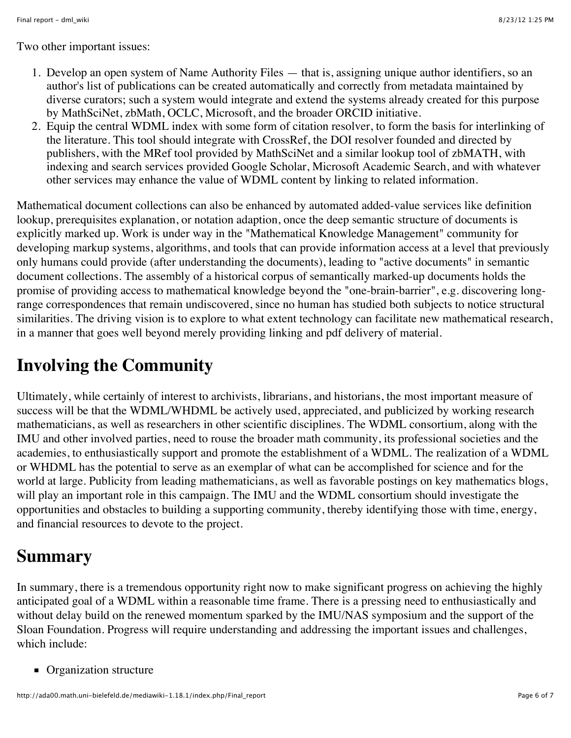Two other important issues:

- 1. Develop an open system of Name Authority Files that is, assigning unique author identifiers, so an author's list of publications can be created automatically and correctly from metadata maintained by diverse curators; such a system would integrate and extend the systems already created for this purpose by MathSciNet, zbMath, OCLC, Microsoft, and the broader ORCID initiative.
- 2. Equip the central WDML index with some form of citation resolver, to form the basis for interlinking of the literature. This tool should integrate with CrossRef, the DOI resolver founded and directed by publishers, with the MRef tool provided by MathSciNet and a similar lookup tool of zbMATH, with indexing and search services provided Google Scholar, Microsoft Academic Search, and with whatever other services may enhance the value of WDML content by linking to related information.

Mathematical document collections can also be enhanced by automated added-value services like definition lookup, prerequisites explanation, or notation adaption, once the deep semantic structure of documents is explicitly marked up. Work is under way in the "Mathematical Knowledge Management" community for developing markup systems, algorithms, and tools that can provide information access at a level that previously only humans could provide (after understanding the documents), leading to "active documents" in semantic document collections. The assembly of a historical corpus of semantically marked-up documents holds the promise of providing access to mathematical knowledge beyond the "one-brain-barrier", e.g. discovering longrange correspondences that remain undiscovered, since no human has studied both subjects to notice structural similarities. The driving vision is to explore to what extent technology can facilitate new mathematical research, in a manner that goes well beyond merely providing linking and pdf delivery of material.

## **Involving the Community**

Ultimately, while certainly of interest to archivists, librarians, and historians, the most important measure of success will be that the WDML/WHDML be actively used, appreciated, and publicized by working research mathematicians, as well as researchers in other scientific disciplines. The WDML consortium, along with the IMU and other involved parties, need to rouse the broader math community, its professional societies and the academies, to enthusiastically support and promote the establishment of a WDML. The realization of a WDML or WHDML has the potential to serve as an exemplar of what can be accomplished for science and for the world at large. Publicity from leading mathematicians, as well as favorable postings on key mathematics blogs, will play an important role in this campaign. The IMU and the WDML consortium should investigate the opportunities and obstacles to building a supporting community, thereby identifying those with time, energy, and financial resources to devote to the project.

## **Summary**

In summary, there is a tremendous opportunity right now to make significant progress on achieving the highly anticipated goal of a WDML within a reasonable time frame. There is a pressing need to enthusiastically and without delay build on the renewed momentum sparked by the IMU/NAS symposium and the support of the Sloan Foundation. Progress will require understanding and addressing the important issues and challenges, which include:

• Organization structure